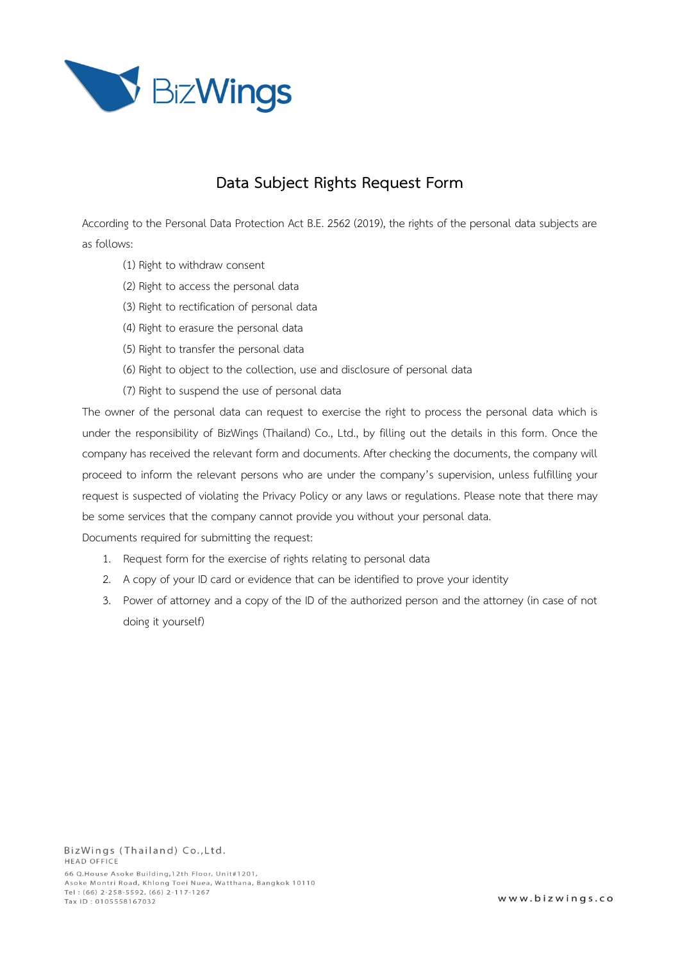

# **Data Subject Rights Request Form**

According to the Personal Data Protection Act B.E. 2562 (2019), the rights of the personal data subjects are as follows:

- (1) Right to withdraw consent
- (2) Right to access the personal data
- (3) Right to rectification of personal data
- (4) Right to erasure the personal data
- (5) Right to transfer the personal data
- (6) Right to object to the collection, use and disclosure of personal data
- (7) Right to suspend the use of personal data

The owner of the personal data can request to exercise the right to process the personal data which is under the responsibility of BizWings (Thailand) Co., Ltd., by filling out the details in this form. Once the company has received the relevant form and documents. After checking the documents, the company will proceed to inform the relevant persons who are under the company's supervision, unless fulfilling your request is suspected of violating the Privacy Policy or any laws or regulations. Please note that there may be some services that the company cannot provide you without your personal data.

Documents required for submitting the request:

- 1. Request form for the exercise of rights relating to personal data
- 2. A copy of your ID card or evidence that can be identified to prove your identity
- 3. Power of attorney and a copy of the ID of the authorized person and the attorney (in case of not doing it yourself)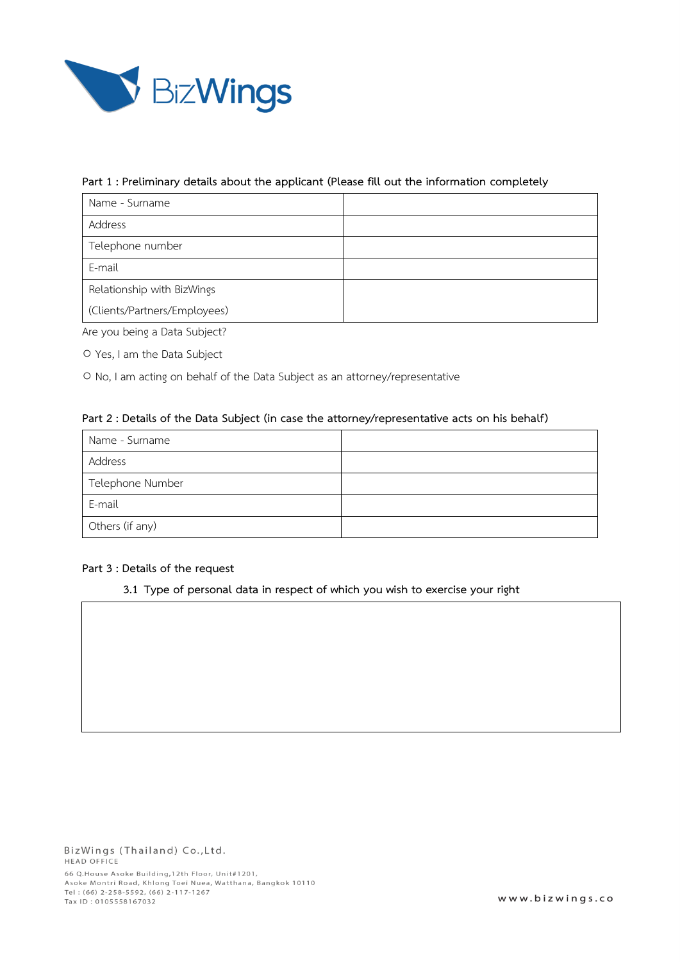

### **Part 1 : Preliminary details about the applicant (Please fill out the information completely**

| Name - Surname               |  |
|------------------------------|--|
| Address                      |  |
| Telephone number             |  |
| E-mail                       |  |
| Relationship with BizWings   |  |
| (Clients/Partners/Employees) |  |

Are you being a Data Subject?

○ Yes, I am the Data Subject

○ No, I am acting on behalf of the Data Subject as an attorney/representative

### **Part 2 : Details of the Data Subject (in case the attorney/representative acts on his behalf)**

| Name - Surname   |  |
|------------------|--|
| Address          |  |
| Telephone Number |  |
| E-mail           |  |
| Others (if any)  |  |

# **Part 3 : Details of the request**

**3.1 Type of personal data in respect of which you wish to exercise your right**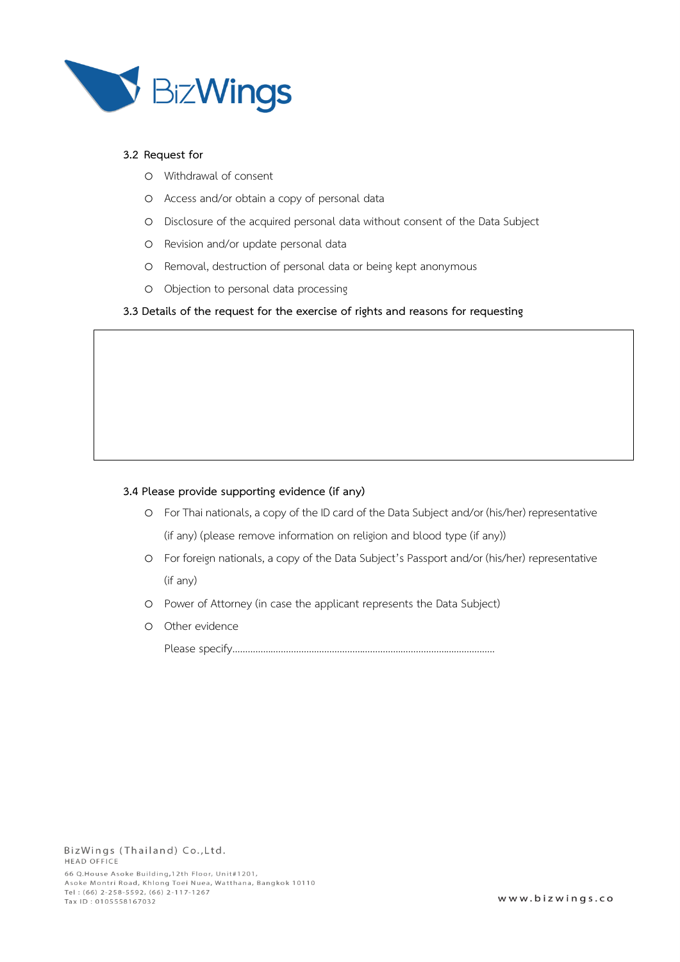

# **3.2 Request for**

- o Withdrawal of consent
- o Access and/or obtain a copy of personal data
- o Disclosure of the acquired personal data without consent of the Data Subject
- o Revision and/or update personal data
- o Removal, destruction of personal data or being kept anonymous
- o Objection to personal data processing

#### **3.3 Details of the request for the exercise of rights and reasons for requesting**

#### **3.4 Please provide supporting evidence (if any)**

- o For Thai nationals, a copy of the ID card of the Data Subject and/or (his/her) representative (if any) (please remove information on religion and blood type (if any))
- o For foreign nationals, a copy of the Data Subject's Passport and/or (his/her) representative (if any)
- o Power of Attorney (in case the applicant represents the Data Subject)
- o Other evidence

Please specify…………………………………………………………………………………….……